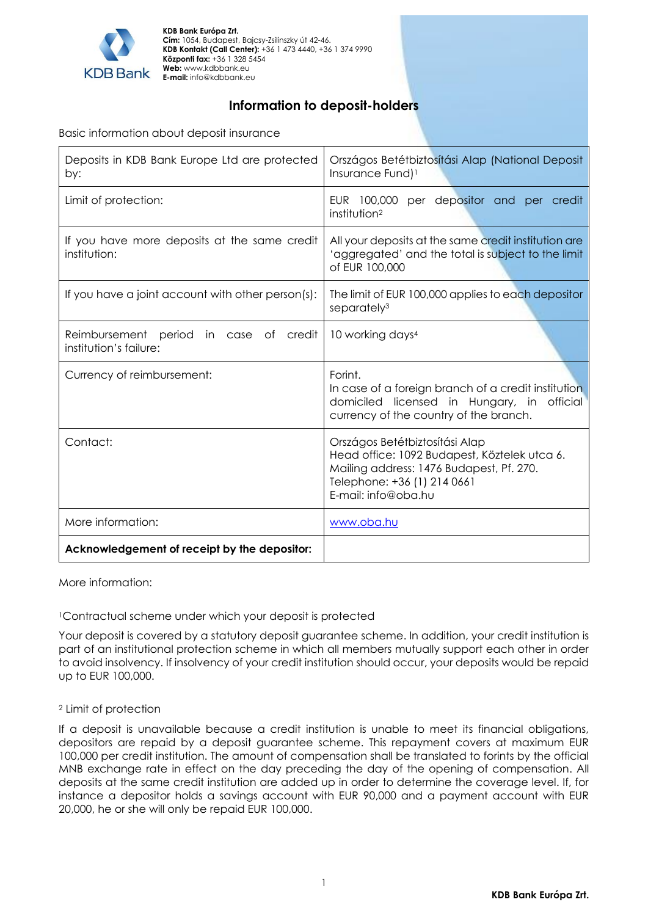

**KDB Bank Európa Zrt. Cím:** 1054, Budapest, Bajcsy-Zsilinszky út 42-46. **KDB Kontakt (Call Center):** +36 1 473 4440, +36 1 374 9990 **Központi fax:** +36 1 328 5454 **Web:** www.kdbbank.eu **E-mail:** info@kdbbank.eu

# **Information to deposit-holders**

Basic information about deposit insurance

| Deposits in KDB Bank Europe Ltd are protected<br>by:                      | Országos Betétbiztosítási Alap (National Deposit<br>Insurance Fund) <sup>1</sup>                                                                                                 |
|---------------------------------------------------------------------------|----------------------------------------------------------------------------------------------------------------------------------------------------------------------------------|
| Limit of protection:                                                      | EUR 100,000<br>per depositor and per credit<br>institution <sup>2</sup>                                                                                                          |
| If you have more deposits at the same credit<br>institution:              | All your deposits at the same credit institution are<br>'aggregated' and the total is subject to the limit<br>of EUR 100,000                                                     |
| If you have a joint account with other person(s):                         | The limit of EUR 100,000 applies to each depositor<br>separately <sup>3</sup>                                                                                                    |
| Reimbursement period<br>of<br>credit<br>in case<br>institution's failure: | 10 working days <sup>4</sup>                                                                                                                                                     |
| Currency of reimbursement:                                                | Forint.<br>In case of a foreign branch of a credit institution<br>domiciled licensed in Hungary, in official<br>currency of the country of the branch.                           |
| Contact:                                                                  | Országos Betétbiztosítási Alap<br>Head office: 1092 Budapest, Köztelek utca 6.<br>Mailing address: 1476 Budapest, Pf. 270.<br>Telephone: +36 (1) 214 0661<br>E-mail: info@oba.hu |
| More information:                                                         | www.oba.hu                                                                                                                                                                       |
| Acknowledgement of receipt by the depositor:                              |                                                                                                                                                                                  |

More information:

<sup>1</sup>Contractual scheme under which your deposit is protected

Your deposit is covered by a statutory deposit guarantee scheme. In addition, your credit institution is part of an institutional protection scheme in which all members mutually support each other in order to avoid insolvency. If insolvency of your credit institution should occur, your deposits would be repaid up to EUR 100,000.

## <sup>2</sup> Limit of protection

If a deposit is unavailable because a credit institution is unable to meet its financial obligations, depositors are repaid by a deposit guarantee scheme. This repayment covers at maximum EUR 100,000 per credit institution. The amount of compensation shall be translated to forints by the official MNB exchange rate in effect on the day preceding the day of the opening of compensation. All deposits at the same credit institution are added up in order to determine the coverage level. If, for instance a depositor holds a savings account with EUR 90,000 and a payment account with EUR 20,000, he or she will only be repaid EUR 100,000.